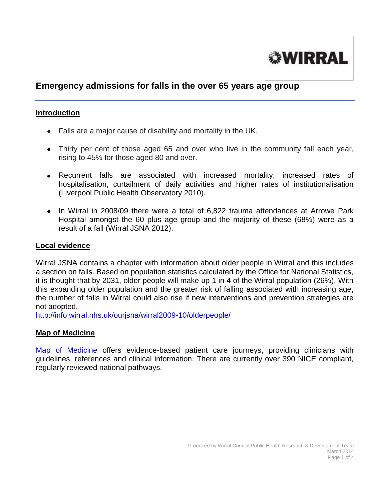

# **Emergency admissions for falls in the over 65 years age group**

### **Introduction**

- Falls are a major cause of disability and mortality in the UK.
- Thirty per cent of those aged 65 and over who live in the community fall each year, rising to 45% for those aged 80 and over.
- Recurrent falls are associated with increased mortality, increased rates of hospitalisation, curtailment of daily activities and higher rates of institutionalisation (Liverpool Public Health Observatory 2010).
- In Wirral in 2008/09 there were a total of 6,822 trauma attendances at Arrowe Park Hospital amongst the 60 plus age group and the majority of these (68%) were as a result of a fall (Wirral JSNA 2012).

#### **Local evidence**

Wirral JSNA contains a chapter with information about older people in Wirral and this includes a section on falls. Based on population statistics calculated by the Office for National Statistics, it is thought that by 2031, older people will make up 1 in 4 of the Wirral population (26%). With this expanding older population and the greater risk of falling associated with increasing age, the number of falls in Wirral could also rise if new interventions and prevention strategies are not adopted.

<http://info.wirral.nhs.uk/ourjsna/wirral2009-10/olderpeople/>

#### **Map of Medicine**

[Map of Medicine](http://www.mapofmedicine.com/) offers evidence-based patient care journeys, providing clinicians with guidelines, references and clinical information. There are currently over 390 NICE compliant, regularly reviewed national pathways.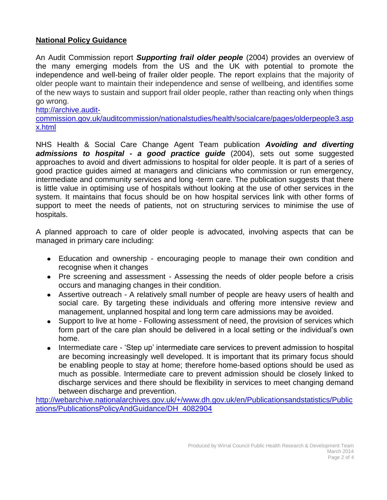## **National Policy Guidance**

An Audit Commission report *Supporting frail older people* (2004) provides an overview of the many emerging models from the US and the UK with potential to promote the independence and well-being of frailer older people. The report explains that the majority of older people want to maintain their independence and sense of wellbeing, and identifies some of the new ways to sustain and support frail older people, rather than reacting only when things go wrong.

[http://archive.audit-](http://archive.audit-commission.gov.uk/auditcommission/nationalstudies/health/socialcare/pages/olderpeople3.aspx.html)

[commission.gov.uk/auditcommission/nationalstudies/health/socialcare/pages/olderpeople3.asp](http://archive.audit-commission.gov.uk/auditcommission/nationalstudies/health/socialcare/pages/olderpeople3.aspx.html) [x.html](http://archive.audit-commission.gov.uk/auditcommission/nationalstudies/health/socialcare/pages/olderpeople3.aspx.html)

NHS Health & Social Care Change Agent Team publication *Avoiding and diverting admissions to hospital - a good practice guide* (2004), sets out some suggested approaches to avoid and divert admissions to hospital for older people. It is part of a series of good practice guides aimed at managers and clinicians who commission or run emergency, intermediate and community services and long -term care. The publication suggests that there is little value in optimising use of hospitals without looking at the use of other services in the system. It maintains that focus should be on how hospital services link with other forms of support to meet the needs of patients, not on structuring services to minimise the use of hospitals.

A planned approach to care of older people is advocated, involving aspects that can be managed in primary care including:

- Education and ownership encouraging people to manage their own condition and recognise when it changes
- Pre screening and assessment Assessing the needs of older people before a crisis occurs and managing changes in their condition.
- Assertive outreach A relatively small number of people are heavy users of health and social care. By targeting these individuals and offering more intensive review and management, unplanned hospital and long term care admissions may be avoided.
- Support to live at home Following assessment of need, the provision of services which form part of the care plan should be delivered in a local setting or the individual's own home.
- Intermediate care 'Step up' intermediate care services to prevent admission to hospital are becoming increasingly well developed. It is important that its primary focus should be enabling people to stay at home; therefore home-based options should be used as much as possible. Intermediate care to prevent admission should be closely linked to discharge services and there should be flexibility in services to meet changing demand between discharge and prevention.

[http://webarchive.nationalarchives.gov.uk/+/www.dh.gov.uk/en/Publicationsandstatistics/Public](http://webarchive.nationalarchives.gov.uk/+/www.dh.gov.uk/en/Publicationsandstatistics/Publications/PublicationsPolicyAndGuidance/DH_4082904) [ations/PublicationsPolicyAndGuidance/DH\\_4082904](http://webarchive.nationalarchives.gov.uk/+/www.dh.gov.uk/en/Publicationsandstatistics/Publications/PublicationsPolicyAndGuidance/DH_4082904)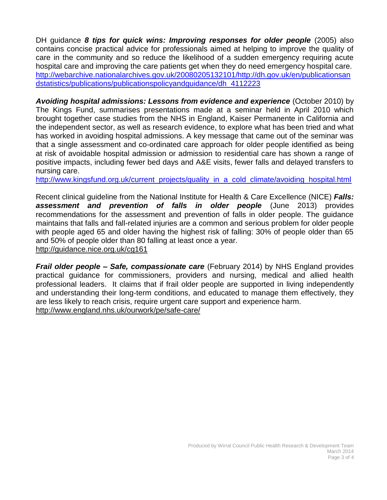DH guidance *8 tips for quick wins: Improving responses for older people* (2005) also contains concise practical advice for professionals aimed at helping to improve the quality of care in the community and so reduce the likelihood of a sudden emergency requiring acute hospital care and improving the care patients get when they do need emergency hospital care. [http://webarchive.nationalarchives.gov.uk/20080205132101/http://dh.gov.uk/en/publicationsan](http://webarchive.nationalarchives.gov.uk/20080205132101/http:/dh.gov.uk/en/publicationsandstatistics/publications/publicationspolicyandguidance/dh_4112223) [dstatistics/publications/publicationspolicyandguidance/dh\\_4112223](http://webarchive.nationalarchives.gov.uk/20080205132101/http:/dh.gov.uk/en/publicationsandstatistics/publications/publicationspolicyandguidance/dh_4112223)

*Avoiding hospital admissions: Lessons from evidence and experience* (October 2010) by The Kings Fund, summarises presentations made at a seminar held in April 2010 which brought together case studies from the NHS in England, Kaiser Permanente in California and the independent sector, as well as research evidence, to explore what has been tried and what has worked in avoiding hospital admissions. A key message that came out of the seminar was that a single assessment and co-ordinated care approach for older people identified as being at risk of avoidable hospital admission or admission to residential care has shown a range of positive impacts, including fewer bed days and A&E visits, fewer falls and delayed transfers to nursing care.

[http://www.kingsfund.org.uk/current\\_projects/quality\\_in\\_a\\_cold\\_climate/avoiding\\_hospital.html](http://www.kingsfund.org.uk/current_projects/quality_in_a_cold_climate/avoiding_hospital.html)

Recent clinical guideline from the National Institute for Health & Care Excellence (NICE) *Falls: assessment and prevention of falls in older people* (June 2013) provides recommendations for the assessment and prevention of falls in older people. The guidance maintains that falls and fall-related injuries are a common and serious problem for older people with people aged 65 and older having the highest risk of falling: 30% of people older than 65 and 50% of people older than 80 falling at least once a year. <http://guidance.nice.org.uk/cg161>

*Frail older people – Safe, compassionate care* (February 2014) by NHS England provides practical guidance for commissioners, providers and nursing, medical and allied health professional leaders. It claims that if frail older people are supported in living independently and understanding their long-term conditions, and educated to manage them effectively, they are less likely to reach crisis, require urgent care support and experience harm. <http://www.england.nhs.uk/ourwork/pe/safe-care/>